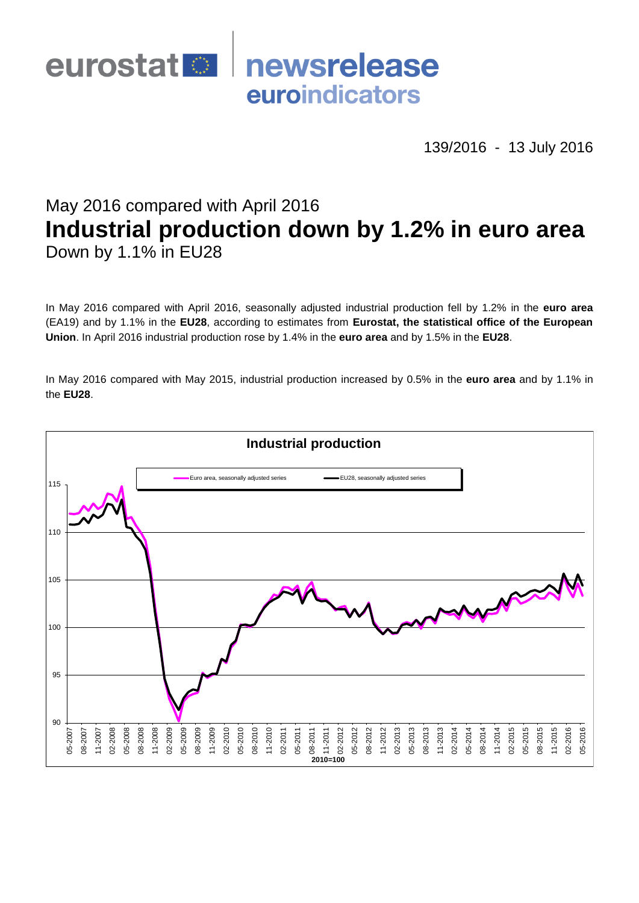

139/2016 - 13 July 2016

# May 2016 compared with April 2016 **Industrial production down by 1.2% in euro area** Down by 1.1% in EU28

In May 2016 compared with April 2016, seasonally adjusted industrial production fell by 1.2% in the **euro area**  (EA19) and by 1.1% in the **EU28**, according to estimates from **Eurostat, the statistical office of the European Union**. In April 2016 industrial production rose by 1.4% in the **euro area** and by 1.5% in the **EU28**.

In May 2016 compared with May 2015, industrial production increased by 0.5% in the **euro area** and by 1.1% in the **EU28**.

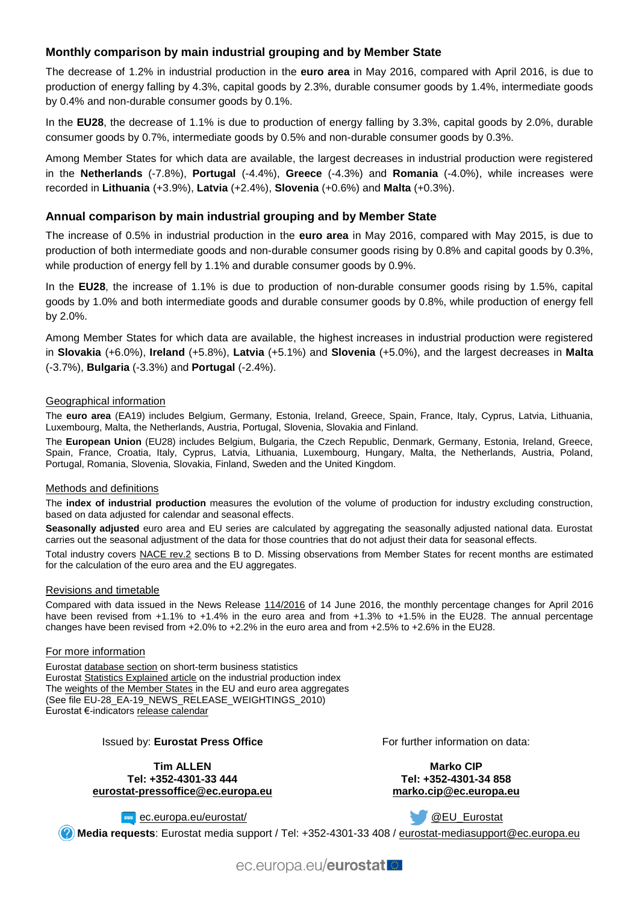# **Monthly comparison by main industrial grouping and by Member State**

The decrease of 1.2% in industrial production in the **euro area** in May 2016, compared with April 2016, is due to production of energy falling by 4.3%, capital goods by 2.3%, durable consumer goods by 1.4%, intermediate goods by 0.4% and non-durable consumer goods by 0.1%.

In the **EU28**, the decrease of 1.1% is due to production of energy falling by 3.3%, capital goods by 2.0%, durable consumer goods by 0.7%, intermediate goods by 0.5% and non-durable consumer goods by 0.3%.

Among Member States for which data are available, the largest decreases in industrial production were registered in the **Netherlands** (-7.8%), **Portugal** (-4.4%), **Greece** (-4.3%) and **Romania** (-4.0%), while increases were recorded in **Lithuania** (+3.9%), **Latvia** (+2.4%), **Slovenia** (+0.6%) and **Malta** (+0.3%).

## **Annual comparison by main industrial grouping and by Member State**

The increase of 0.5% in industrial production in the **euro area** in May 2016, compared with May 2015, is due to production of both intermediate goods and non-durable consumer goods rising by 0.8% and capital goods by 0.3%, while production of energy fell by 1.1% and durable consumer goods by 0.9%.

In the **EU28**, the increase of 1.1% is due to production of non-durable consumer goods rising by 1.5%, capital goods by 1.0% and both intermediate goods and durable consumer goods by 0.8%, while production of energy fell by 2.0%.

Among Member States for which data are available, the highest increases in industrial production were registered in **Slovakia** (+6.0%), **Ireland** (+5.8%), **Latvia** (+5.1%) and **Slovenia** (+5.0%), and the largest decreases in **Malta** (-3.7%), **Bulgaria** (-3.3%) and **Portugal** (-2.4%).

#### Geographical information

The **euro area** (EA19) includes Belgium, Germany, Estonia, Ireland, Greece, Spain, France, Italy, Cyprus, Latvia, Lithuania, Luxembourg, Malta, the Netherlands, Austria, Portugal, Slovenia, Slovakia and Finland.

The **European Union** (EU28) includes Belgium, Bulgaria, the Czech Republic, Denmark, Germany, Estonia, Ireland, Greece, Spain, France, Croatia, Italy, Cyprus, Latvia, Lithuania, Luxembourg, Hungary, Malta, the Netherlands, Austria, Poland, Portugal, Romania, Slovenia, Slovakia, Finland, Sweden and the United Kingdom.

#### Methods and definitions

The **index of industrial production** measures the evolution of the volume of production for industry excluding construction, based on data adjusted for calendar and seasonal effects.

**Seasonally adjusted** euro area and EU series are calculated by aggregating the seasonally adjusted national data. Eurostat carries out the seasonal adjustment of the data for those countries that do not adjust their data for seasonal effects.

Total industry covers [NACE rev.2](http://ec.europa.eu/eurostat/ramon/nomenclatures/index.cfm?TargetUrl=LST_NOM_DTL&StrNom=NACE_REV2&StrLanguageCode=EN&IntPcKey=&StrLayoutCode=HIERARCHIC) sections B to D. Missing observations from Member States for recent months are estimated for the calculation of the euro area and the EU aggregates.

#### Revisions and timetable

Compared with data issued in the News Release [114/2016](http://ec.europa.eu/eurostat/documents/2995521/7481759/4-14062016-AP-EN.pdf/20b1a962-c8ee-449a-8e3a-858e6897de72) of 14 June 2016, the monthly percentage changes for April 2016 have been revised from +1.1% to +1.4% in the euro area and from +1.3% to +1.5% in the EU28. The annual percentage changes have been revised from +2.0% to +2.2% in the euro area and from +2.5% to +2.6% in the EU28.

#### For more information

Eurosta[t database section](http://ec.europa.eu/eurostat/web/short-term-business-statistics/data/database) on short-term business statistics Eurosta[t Statistics Explained article](http://ec.europa.eu/eurostat/statistics-explained/index.php/Industrial_production_(volume)_index_overview) on the industrial production index Th[e weights of the Member States](https://circabc.europa.eu/w/browse/5e6d1e48-056c-4c6a-8278-3ab138bcf575) in the EU and euro area aggregates (See file EU-28\_EA-19\_NEWS\_RELEASE\_WEIGHTINGS\_2010) Eurostat €-indicator[s release calendar](http://ec.europa.eu/eurostat/news/release-calendar)

### Issued by: **Eurostat Press Office**

**Tim ALLEN Tel: +352-4301-33 444 [eurostat-pressoffice@ec.europa.eu](mailto:eurostat-pressoffice@ec.europa.eu)** For further information on data:

**Marko CIP Tel: +352-4301-34 858 [marko.cip@ec.europa.eu](mailto:marko.cip@ec.europa.eu)**

**www**[ec.europa.eu/eurostat/](http://ec.europa.eu/eurostat/)

[@EU\\_Eurostat](http://twitter.com/EU_Eurostat)

**Media requests**: Eurostat media support / Tel: +352-4301-33 408 / [eurostat-mediasupport@ec.europa.eu](mailto:eurostat-mediasupport@ec.europa.eu)

ec.europa.eu/eurostat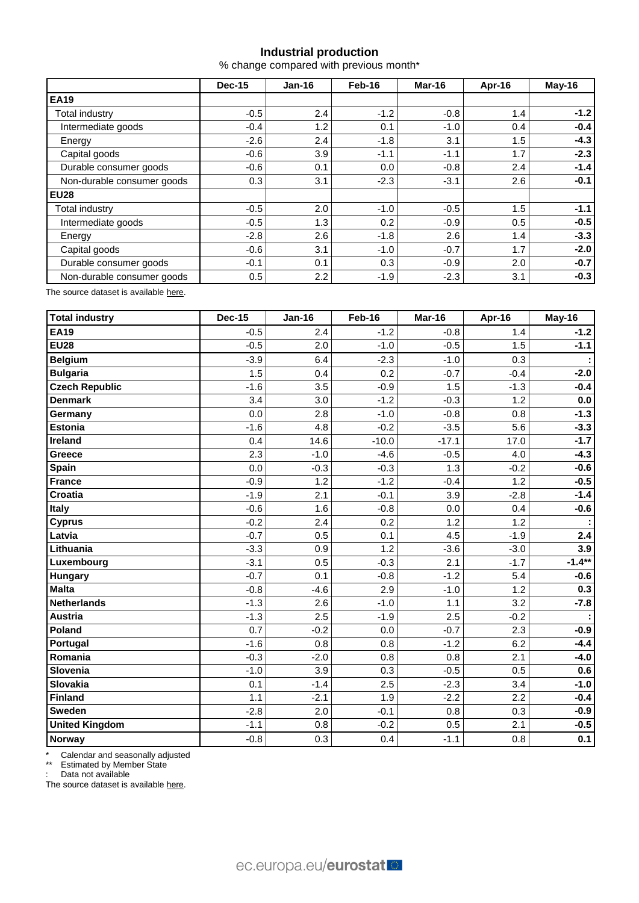# **Industrial production**

% change compared with previous month\*

|                            | Dec-15 | $Jan-16$         | Feb-16 | Mar-16 | Apr-16 | May-16 |  |
|----------------------------|--------|------------------|--------|--------|--------|--------|--|
| <b>EA19</b>                |        |                  |        |        |        |        |  |
| Total industry             | $-0.5$ | 2.4              | $-1.2$ | $-0.8$ | 1.4    | $-1.2$ |  |
| Intermediate goods         | $-0.4$ | 1.2              | 0.1    | $-1.0$ | 0.4    | $-0.4$ |  |
| Energy                     | $-2.6$ | 2.4              | $-1.8$ | 3.1    | 1.5    | $-4.3$ |  |
| Capital goods              | $-0.6$ | 3.9              | $-1.1$ | $-1.1$ | 1.7    | $-2.3$ |  |
| Durable consumer goods     | $-0.6$ | 0.1              | 0.0    | $-0.8$ | 2.4    | $-1.4$ |  |
| Non-durable consumer goods | 0.3    | 3.1              | $-2.3$ | $-3.1$ | 2.6    | $-0.1$ |  |
| <b>EU28</b>                |        |                  |        |        |        |        |  |
| Total industry             | $-0.5$ | 2.0              | $-1.0$ | $-0.5$ | 1.5    | $-1.1$ |  |
| Intermediate goods         | $-0.5$ | 1.3              | 0.2    | $-0.9$ | 0.5    | $-0.5$ |  |
| Energy                     | $-2.8$ | 2.6              | $-1.8$ | 2.6    | 1.4    | $-3.3$ |  |
| Capital goods              | $-0.6$ | 3.1              | $-1.0$ | $-0.7$ | 1.7    | $-2.0$ |  |
| Durable consumer goods     | $-0.1$ | 0.1              | 0.3    | $-0.9$ | 2.0    | $-0.7$ |  |
| Non-durable consumer goods | 0.5    | $2.2\phantom{0}$ | $-1.9$ | $-2.3$ | 3.1    | $-0.3$ |  |

The source dataset is available [here.](http://appsso.eurostat.ec.europa.eu/nui/show.do?query=BOOKMARK_DS-069583_QID_-53045BCF_UID_-3F171EB0&layout=TIME,C,X,0;GEO,L,Y,0;NACE_R2,L,Y,1;INDIC_BT,L,Z,0;S_ADJ,L,Z,1;UNIT,L,Z,2;INDICATORS,C,Z,3;&zSelection=DS-069583UNIT,PCH_PRE;DS-069583S_ADJ,SCA;DS-069583INDIC_BT,PROD;DS-069583INDICATORS,OBS_FLAG;&rankName1=UNIT_1_2_-1_2&rankName2=INDIC-BT_1_2_-1_2&rankName3=INDICATORS_1_2_-1_2&rankName4=S-ADJ_1_2_-1_2&rankName5=TIME_1_0_0_0&rankName6=GEO_1_0_0_1&rankName7=NACE-R2_1_2_1_1&sortR=ASC_-1_FIRST&sortC=ASC_-1_FIRST&rStp=&cStp=&rDCh=&cDCh=&rDM=true&cDM=true&footnes=false&empty=false&wai=false&time_mode=ROLLING&time_most_recent=true&lang=EN&cfo=%23%23%23%2C%23%23%23.%23%23%23)

| Total industry        | <b>Dec-15</b> | <b>Jan-16</b> | Feb-16  | Mar-16  | Apr-16 | May-16   |
|-----------------------|---------------|---------------|---------|---------|--------|----------|
| <b>EA19</b>           | $-0.5$        | 2.4           | $-1.2$  | $-0.8$  | 1.4    | $-1.2$   |
| <b>EU28</b>           | $-0.5$        | 2.0           | $-1.0$  | $-0.5$  | 1.5    | $-1.1$   |
| <b>Belgium</b>        | $-3.9$        | 6.4           | $-2.3$  | $-1.0$  | 0.3    |          |
| <b>Bulgaria</b>       | 1.5           | 0.4           | 0.2     | $-0.7$  | $-0.4$ | $-2.0$   |
| <b>Czech Republic</b> | $-1.6$        | 3.5           | $-0.9$  | 1.5     | $-1.3$ | $-0.4$   |
| <b>Denmark</b>        | 3.4           | 3.0           | $-1.2$  | $-0.3$  | 1.2    | 0.0      |
| Germany               | 0.0           | 2.8           | $-1.0$  | $-0.8$  | 0.8    | $-1.3$   |
| <b>Estonia</b>        | $-1.6$        | 4.8           | $-0.2$  | $-3.5$  | 5.6    | $-3.3$   |
| Ireland               | 0.4           | 14.6          | $-10.0$ | $-17.1$ | 17.0   | $-1.7$   |
| Greece                | 2.3           | $-1.0$        | $-4.6$  | $-0.5$  | 4.0    | $-4.3$   |
| Spain                 | 0.0           | $-0.3$        | $-0.3$  | 1.3     | $-0.2$ | $-0.6$   |
| France                | $-0.9$        | 1.2           | $-1.2$  | $-0.4$  | 1.2    | $-0.5$   |
| Croatia               | $-1.9$        | 2.1           | $-0.1$  | 3.9     | $-2.8$ | $-1.4$   |
| <b>Italy</b>          | $-0.6$        | 1.6           | $-0.8$  | 0.0     | 0.4    | $-0.6$   |
| <b>Cyprus</b>         | $-0.2$        | 2.4           | 0.2     | 1.2     | 1.2    |          |
| Latvia                | $-0.7$        | 0.5           | 0.1     | 4.5     | $-1.9$ | 2.4      |
| Lithuania             | $-3.3$        | 0.9           | 1.2     | $-3.6$  | $-3.0$ | 3.9      |
| Luxembourg            | $-3.1$        | 0.5           | $-0.3$  | 2.1     | $-1.7$ | $-1.4**$ |
| Hungary               | $-0.7$        | 0.1           | $-0.8$  | $-1.2$  | 5.4    | $-0.6$   |
| <b>Malta</b>          | $-0.8$        | $-4.6$        | 2.9     | $-1.0$  | 1.2    | 0.3      |
| <b>Netherlands</b>    | $-1.3$        | 2.6           | $-1.0$  | 1.1     | 3.2    | $-7.8$   |
| Austria               | $-1.3$        | 2.5           | $-1.9$  | 2.5     | $-0.2$ |          |
| Poland                | 0.7           | $-0.2$        | 0.0     | $-0.7$  | 2.3    | $-0.9$   |
| Portugal              | $-1.6$        | 0.8           | 0.8     | $-1.2$  | 6.2    | $-4.4$   |
| Romania               | $-0.3$        | $-2.0$        | 0.8     | 0.8     | 2.1    | $-4.0$   |
| Slovenia              | $-1.0$        | 3.9           | 0.3     | $-0.5$  | 0.5    | 0.6      |
| Slovakia              | 0.1           | $-1.4$        | 2.5     | $-2.3$  | 3.4    | $-1.0$   |
| Finland               | 1.1           | $-2.1$        | 1.9     | $-2.2$  | 2.2    | $-0.4$   |
| <b>Sweden</b>         | $-2.8$        | 2.0           | $-0.1$  | 0.8     | 0.3    | $-0.9$   |
| <b>United Kingdom</b> | $-1.1$        | 0.8           | $-0.2$  | 0.5     | 2.1    | $-0.5$   |
| Norway                | $-0.8$        | 0.3           | 0.4     | $-1.1$  | 0.8    | 0.1      |

\* Calendar and seasonally adjusted

\*\* Estimated by Member State

: Data not available

The source dataset is availabl[e here.](http://appsso.eurostat.ec.europa.eu/nui/show.do?query=BOOKMARK_DS-069583_QID_-3986CD57_UID_-3F171EB0&layout=TIME,C,X,0;GEO,L,Y,0;INDIC_BT,L,Z,0;S_ADJ,L,Z,1;UNIT,L,Z,2;NACE_R2,L,Z,3;INDICATORS,C,Z,4;&zSelection=DS-069583UNIT,PCH_PRE;DS-069583S_ADJ,SCA;DS-069583INDIC_BT,PROD;DS-069583INDICATORS,OBS_FLAG;DS-069583NACE_R2,B-D;&rankName1=UNIT_1_2_-1_2&rankName2=INDIC-BT_1_2_-1_2&rankName3=INDICATORS_1_2_-1_2&rankName4=S-ADJ_1_2_-1_2&rankName5=NACE-R2_1_2_-1_2&rankName6=TIME_1_0_0_0&rankName7=GEO_1_2_0_1&sortC=ASC_-1_FIRST&rStp=&cStp=&rDCh=&cDCh=&rDM=true&cDM=true&footnes=false&empty=false&wai=false&time_mode=ROLLING&time_most_recent=true&lang=EN&cfo=%23%23%23%2C%23%23%23.%23%23%23)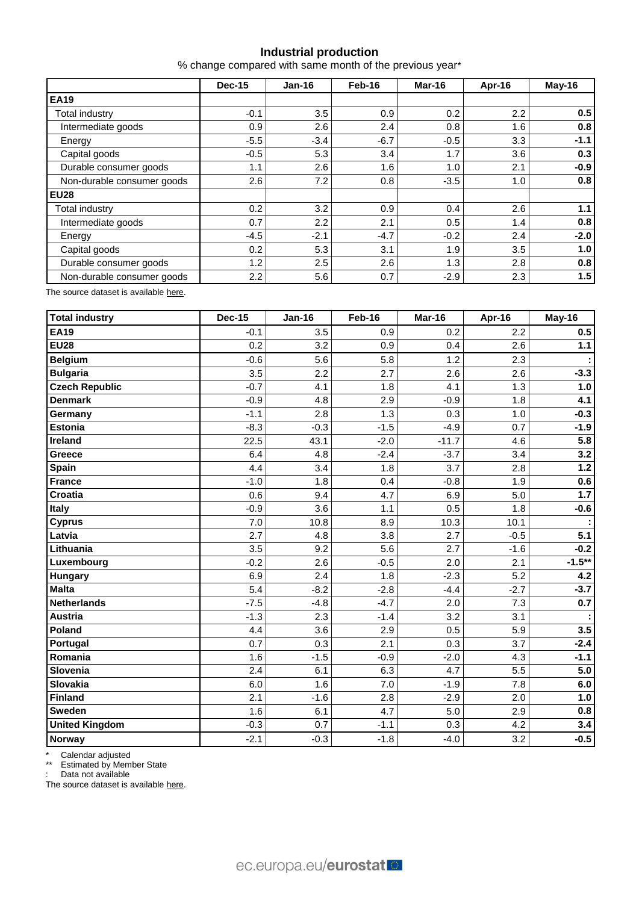# **Industrial production**

% change compared with same month of the previous year\*

|                            | <b>Dec-15</b> | $Jan-16$ | Feb-16 | Mar-16 | Apr-16 | May-16 |  |
|----------------------------|---------------|----------|--------|--------|--------|--------|--|
| <b>EA19</b>                |               |          |        |        |        |        |  |
| Total industry             | $-0.1$        | 3.5      | 0.9    | 0.2    | 2.2    | 0.5    |  |
| Intermediate goods         | 0.9           | 2.6      | 2.4    | 0.8    | 1.6    | 0.8    |  |
| Energy                     | $-5.5$        | $-3.4$   | $-6.7$ | $-0.5$ | 3.3    | $-1.1$ |  |
| Capital goods              | $-0.5$        | 5.3      | 3.4    | 1.7    | 3.6    | 0.3    |  |
| Durable consumer goods     | 1.1           | 2.6      | 1.6    | 1.0    | 2.1    | $-0.9$ |  |
| Non-durable consumer goods | 2.6           | 7.2      | 0.8    | $-3.5$ | 1.0    | 0.8    |  |
| <b>EU28</b>                |               |          |        |        |        |        |  |
| Total industry             | 0.2           | 3.2      | 0.9    | 0.4    | 2.6    | 1.1    |  |
| Intermediate goods         | 0.7           | 2.2      | 2.1    | 0.5    | 1.4    | 0.8    |  |
| Energy                     | $-4.5$        | $-2.1$   | $-4.7$ | $-0.2$ | 2.4    | $-2.0$ |  |
| Capital goods              | 0.2           | 5.3      | 3.1    | 1.9    | 3.5    | 1.0    |  |
| Durable consumer goods     | 1.2           | 2.5      | 2.6    | 1.3    | 2.8    | 0.8    |  |
| Non-durable consumer goods | 2.2           | 5.6      | 0.7    | $-2.9$ | 2.3    | 1.5    |  |

The source dataset is available [here.](http://appsso.eurostat.ec.europa.eu/nui/show.do?query=BOOKMARK_DS-069583_QID_-628F3FF0_UID_-3F171EB0&layout=TIME,C,X,0;GEO,L,Y,0;NACE_R2,L,Y,1;INDIC_BT,L,Z,0;S_ADJ,L,Z,1;UNIT,L,Z,2;INDICATORS,C,Z,3;&zSelection=DS-069583UNIT,PCH_PRE;DS-069583S_ADJ,SCA;DS-069583INDIC_BT,PROD;DS-069583INDICATORS,OBS_FLAG;&rankName1=UNIT_1_2_-1_2&rankName2=INDIC-BT_1_2_-1_2&rankName3=INDICATORS_1_2_-1_2&rankName4=S-ADJ_1_2_-1_2&rankName5=TIME_1_0_0_0&rankName6=GEO_1_0_0_1&rankName7=NACE-R2_1_2_1_1&sortR=ASC_-1_FIRST&sortC=ASC_-1_FIRST&rStp=&cStp=&rDCh=&cDCh=&rDM=true&cDM=true&footnes=false&empty=false&wai=false&time_mode=ROLLING&time_most_recent=true&lang=EN&cfo=%23%23%23%2C%23%23%23.%23%23%23)

| <b>Total industry</b> | <b>Dec-15</b> | <b>Jan-16</b> | Feb-16 | Mar-16  | Apr-16 | May-16   |
|-----------------------|---------------|---------------|--------|---------|--------|----------|
| <b>EA19</b>           | $-0.1$        | 3.5           | 0.9    | 0.2     | 2.2    | 0.5      |
| <b>EU28</b>           | 0.2           | 3.2           | 0.9    | 0.4     | 2.6    | $1.1$    |
| <b>Belgium</b>        | $-0.6$        | 5.6           | 5.8    | 1.2     | 2.3    |          |
| <b>Bulgaria</b>       | 3.5           | 2.2           | 2.7    | 2.6     | 2.6    | $-3.3$   |
| <b>Czech Republic</b> | $-0.7$        | 4.1           | 1.8    | 4.1     | 1.3    | 1.0      |
| <b>Denmark</b>        | $-0.9$        | 4.8           | 2.9    | $-0.9$  | 1.8    | 4.1      |
| Germany               | $-1.1$        | 2.8           | 1.3    | 0.3     | 1.0    | $-0.3$   |
| <b>Estonia</b>        | $-8.3$        | $-0.3$        | $-1.5$ | $-4.9$  | 0.7    | $-1.9$   |
| Ireland               | 22.5          | 43.1          | $-2.0$ | $-11.7$ | 4.6    | 5.8      |
| <b>Greece</b>         | 6.4           | 4.8           | $-2.4$ | $-3.7$  | 3.4    | 3.2      |
| <b>Spain</b>          | 4.4           | 3.4           | 1.8    | 3.7     | 2.8    | $1.2$    |
| <b>France</b>         | $-1.0$        | 1.8           | 0.4    | $-0.8$  | 1.9    | 0.6      |
| Croatia               | 0.6           | 9.4           | 4.7    | 6.9     | 5.0    | 1.7      |
| Italy                 | $-0.9$        | 3.6           | 1.1    | 0.5     | 1.8    | $-0.6$   |
| <b>Cyprus</b>         | 7.0           | 10.8          | 8.9    | 10.3    | 10.1   |          |
| Latvia                | 2.7           | 4.8           | 3.8    | 2.7     | $-0.5$ | 5.1      |
| Lithuania             | 3.5           | 9.2           | 5.6    | 2.7     | $-1.6$ | $-0.2$   |
| Luxembourg            | $-0.2$        | 2.6           | $-0.5$ | 2.0     | 2.1    | $-1.5**$ |
| Hungary               | 6.9           | 2.4           | 1.8    | $-2.3$  | 5.2    | 4.2      |
| <b>Malta</b>          | 5.4           | $-8.2$        | $-2.8$ | $-4.4$  | $-2.7$ | $-3.7$   |
| <b>Netherlands</b>    | $-7.5$        | $-4.8$        | $-4.7$ | 2.0     | 7.3    | 0.7      |
| <b>Austria</b>        | $-1.3$        | 2.3           | $-1.4$ | 3.2     | 3.1    |          |
| Poland                | 4.4           | 3.6           | 2.9    | 0.5     | 5.9    | 3.5      |
| Portugal              | 0.7           | 0.3           | 2.1    | 0.3     | 3.7    | $-2.4$   |
| Romania               | 1.6           | $-1.5$        | $-0.9$ | $-2.0$  | 4.3    | $-1.1$   |
| Slovenia              | 2.4           | 6.1           | 6.3    | 4.7     | 5.5    | 5.0      |
| <b>Slovakia</b>       | 6.0           | 1.6           | 7.0    | $-1.9$  | 7.8    | 6.0      |
| <b>Finland</b>        | 2.1           | $-1.6$        | 2.8    | $-2.9$  | 2.0    | 1.0      |
| <b>Sweden</b>         | 1.6           | 6.1           | 4.7    | 5.0     | 2.9    | 0.8      |
| <b>United Kingdom</b> | $-0.3$        | 0.7           | $-1.1$ | 0.3     | 4.2    | 3.4      |
| Norway                | $-2.1$        | $-0.3$        | $-1.8$ | $-4.0$  | 3.2    | $-0.5$   |

\* Calendar adjusted

\*\* Estimated by Member State

: Data not available

The source dataset is available [here.](http://appsso.eurostat.ec.europa.eu/nui/show.do?query=BOOKMARK_DS-069583_QID_690FAA53_UID_-3F171EB0&layout=TIME,C,X,0;GEO,L,Y,0;NACE_R2,L,Y,1;INDIC_BT,L,Z,0;S_ADJ,L,Z,1;UNIT,L,Z,2;INDICATORS,C,Z,3;&zSelection=DS-069583UNIT,PCH_SM;DS-069583S_ADJ,CA;DS-069583INDIC_BT,PROD;DS-069583INDICATORS,OBS_FLAG;&rankName1=UNIT_1_2_-1_2&rankName2=INDIC-BT_1_2_-1_2&rankName3=INDICATORS_1_2_-1_2&rankName4=S-ADJ_1_2_-1_2&rankName5=TIME_1_0_0_0&rankName6=GEO_1_2_0_1&rankName7=NACE-R2_1_2_1_1&sortC=ASC_-1_FIRST&rStp=&cStp=&rDCh=&cDCh=&rDM=true&cDM=true&footnes=false&empty=false&wai=false&time_mode=ROLLING&time_most_recent=true&lang=EN&cfo=%23%23%23%2C%23%23%23.%23%23%23)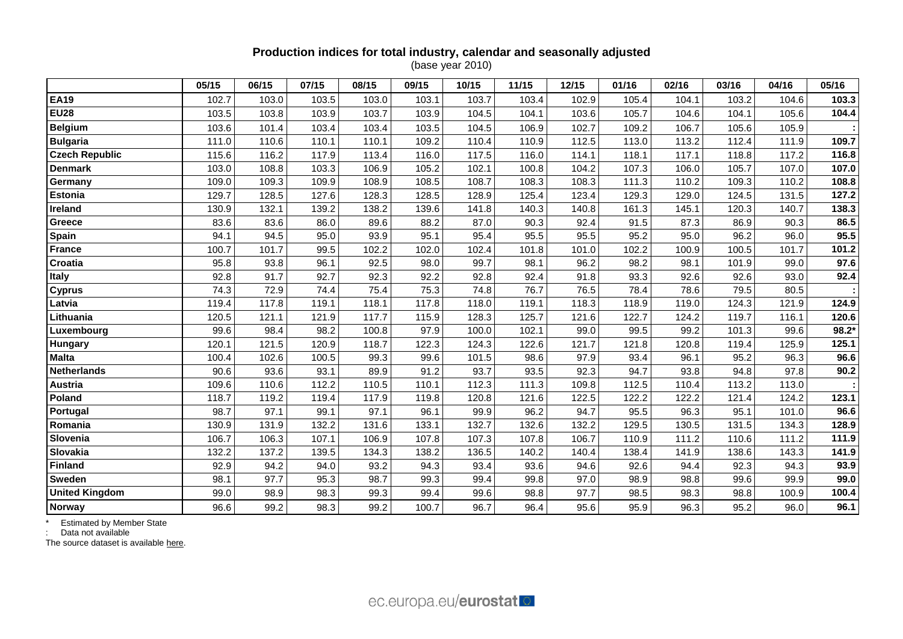# **Production indices for total industry, calendar and seasonally adjusted**

(base year 2010)

|                       | 05/15 | 06/15 | 07/15 | 08/15 | 09/15 | 10/15 | 11/15 | 12/15 | 01/16 | 02/16 | 03/16 | 04/16 | 05/16 |
|-----------------------|-------|-------|-------|-------|-------|-------|-------|-------|-------|-------|-------|-------|-------|
| <b>EA19</b>           | 102.7 | 103.0 | 103.5 | 103.0 | 103.1 | 103.7 | 103.4 | 102.9 | 105.4 | 104.1 | 103.2 | 104.6 | 103.3 |
| <b>EU28</b>           | 103.5 | 103.8 | 103.9 | 103.7 | 103.9 | 104.5 | 104.1 | 103.6 | 105.7 | 104.6 | 104.1 | 105.6 | 104.4 |
| <b>Belgium</b>        | 103.6 | 101.4 | 103.4 | 103.4 | 103.5 | 104.5 | 106.9 | 102.7 | 109.2 | 106.7 | 105.6 | 105.9 |       |
| <b>Bulgaria</b>       | 111.0 | 110.6 | 110.1 | 110.1 | 109.2 | 110.4 | 110.9 | 112.5 | 113.0 | 113.2 | 112.4 | 111.9 | 109.7 |
| <b>Czech Republic</b> | 115.6 | 116.2 | 117.9 | 113.4 | 116.0 | 117.5 | 116.0 | 114.1 | 118.1 | 117.1 | 118.8 | 117.2 | 116.8 |
| <b>Denmark</b>        | 103.0 | 108.8 | 103.3 | 106.9 | 105.2 | 102.1 | 100.8 | 104.2 | 107.3 | 106.0 | 105.7 | 107.0 | 107.0 |
| Germany               | 109.0 | 109.3 | 109.9 | 108.9 | 108.5 | 108.7 | 108.3 | 108.3 | 111.3 | 110.2 | 109.3 | 110.2 | 108.8 |
| <b>Estonia</b>        | 129.7 | 128.5 | 127.6 | 128.3 | 128.5 | 128.9 | 125.4 | 123.4 | 129.3 | 129.0 | 124.5 | 131.5 | 127.2 |
| Ireland               | 130.9 | 132.1 | 139.2 | 138.2 | 139.6 | 141.8 | 140.3 | 140.8 | 161.3 | 145.1 | 120.3 | 140.7 | 138.3 |
| Greece                | 83.6  | 83.6  | 86.0  | 89.6  | 88.2  | 87.0  | 90.3  | 92.4  | 91.5  | 87.3  | 86.9  | 90.3  | 86.5  |
| Spain                 | 94.1  | 94.5  | 95.0  | 93.9  | 95.1  | 95.4  | 95.5  | 95.5  | 95.2  | 95.0  | 96.2  | 96.0  | 95.5  |
| <b>France</b>         | 100.7 | 101.7 | 99.5  | 102.2 | 102.0 | 102.4 | 101.8 | 101.0 | 102.2 | 100.9 | 100.5 | 101.7 | 101.2 |
| Croatia               | 95.8  | 93.8  | 96.1  | 92.5  | 98.0  | 99.7  | 98.1  | 96.2  | 98.2  | 98.1  | 101.9 | 99.0  | 97.6  |
| <b>Italy</b>          | 92.8  | 91.7  | 92.7  | 92.3  | 92.2  | 92.8  | 92.4  | 91.8  | 93.3  | 92.6  | 92.6  | 93.0  | 92.4  |
| <b>Cyprus</b>         | 74.3  | 72.9  | 74.4  | 75.4  | 75.3  | 74.8  | 76.7  | 76.5  | 78.4  | 78.6  | 79.5  | 80.5  |       |
| Latvia                | 119.4 | 117.8 | 119.1 | 118.1 | 117.8 | 118.0 | 119.1 | 118.3 | 118.9 | 119.0 | 124.3 | 121.9 | 124.9 |
| Lithuania             | 120.5 | 121.1 | 121.9 | 117.7 | 115.9 | 128.3 | 125.7 | 121.6 | 122.7 | 124.2 | 119.7 | 116.1 | 120.6 |
| Luxembourg            | 99.6  | 98.4  | 98.2  | 100.8 | 97.9  | 100.0 | 102.1 | 99.0  | 99.5  | 99.2  | 101.3 | 99.6  | 98.2* |
| Hungary               | 120.1 | 121.5 | 120.9 | 118.7 | 122.3 | 124.3 | 122.6 | 121.7 | 121.8 | 120.8 | 119.4 | 125.9 | 125.1 |
| <b>Malta</b>          | 100.4 | 102.6 | 100.5 | 99.3  | 99.6  | 101.5 | 98.6  | 97.9  | 93.4  | 96.1  | 95.2  | 96.3  | 96.6  |
| <b>Netherlands</b>    | 90.6  | 93.6  | 93.1  | 89.9  | 91.2  | 93.7  | 93.5  | 92.3  | 94.7  | 93.8  | 94.8  | 97.8  | 90.2  |
| Austria               | 109.6 | 110.6 | 112.2 | 110.5 | 110.1 | 112.3 | 111.3 | 109.8 | 112.5 | 110.4 | 113.2 | 113.0 |       |
| Poland                | 118.7 | 119.2 | 119.4 | 117.9 | 119.8 | 120.8 | 121.6 | 122.5 | 122.2 | 122.2 | 121.4 | 124.2 | 123.1 |
| Portugal              | 98.7  | 97.1  | 99.1  | 97.1  | 96.1  | 99.9  | 96.2  | 94.7  | 95.5  | 96.3  | 95.1  | 101.0 | 96.6  |
| Romania               | 130.9 | 131.9 | 132.2 | 131.6 | 133.1 | 132.7 | 132.6 | 132.2 | 129.5 | 130.5 | 131.5 | 134.3 | 128.9 |
| Slovenia              | 106.7 | 106.3 | 107.1 | 106.9 | 107.8 | 107.3 | 107.8 | 106.7 | 110.9 | 111.2 | 110.6 | 111.2 | 111.9 |
| Slovakia              | 132.2 | 137.2 | 139.5 | 134.3 | 138.2 | 136.5 | 140.2 | 140.4 | 138.4 | 141.9 | 138.6 | 143.3 | 141.9 |
| <b>Finland</b>        | 92.9  | 94.2  | 94.0  | 93.2  | 94.3  | 93.4  | 93.6  | 94.6  | 92.6  | 94.4  | 92.3  | 94.3  | 93.9  |
| Sweden                | 98.1  | 97.7  | 95.3  | 98.7  | 99.3  | 99.4  | 99.8  | 97.0  | 98.9  | 98.8  | 99.6  | 99.9  | 99.0  |
| <b>United Kingdom</b> | 99.0  | 98.9  | 98.3  | 99.3  | 99.4  | 99.6  | 98.8  | 97.7  | 98.5  | 98.3  | 98.8  | 100.9 | 100.4 |
| <b>Norway</b>         | 96.6  | 99.2  | 98.3  | 99.2  | 100.7 | 96.7  | 96.4  | 95.6  | 95.9  | 96.3  | 95.2  | 96.0  | 96.1  |

\* Estimated by Member State

: Data not available

The source dataset is available [here.](http://appsso.eurostat.ec.europa.eu/nui/show.do?query=BOOKMARK_DS-069583_QID_24071044_UID_-3F171EB0&layout=TIME,C,X,0;GEO,L,Y,0;INDIC_BT,L,Z,0;S_ADJ,L,Z,1;UNIT,L,Z,2;NACE_R2,L,Z,3;INDICATORS,C,Z,4;&zSelection=DS-069583UNIT,I10;DS-069583S_ADJ,SCA;DS-069583INDIC_BT,PROD;DS-069583INDICATORS,OBS_FLAG;DS-069583NACE_R2,B-D;&rankName1=UNIT_1_2_-1_2&rankName2=INDIC-BT_1_2_-1_2&rankName3=INDICATORS_1_2_-1_2&rankName4=S-ADJ_1_2_-1_2&rankName5=NACE-R2_1_2_1_1&rankName6=TIME_1_0_0_0&rankName7=GEO_1_2_0_1&sortC=ASC_-1_FIRST&rStp=&cStp=&rDCh=&cDCh=&rDM=true&cDM=true&footnes=false&empty=false&wai=false&time_mode=ROLLING&time_most_recent=true&lang=EN&cfo=%23%23%23%2C%23%23%23.%23%23%23)